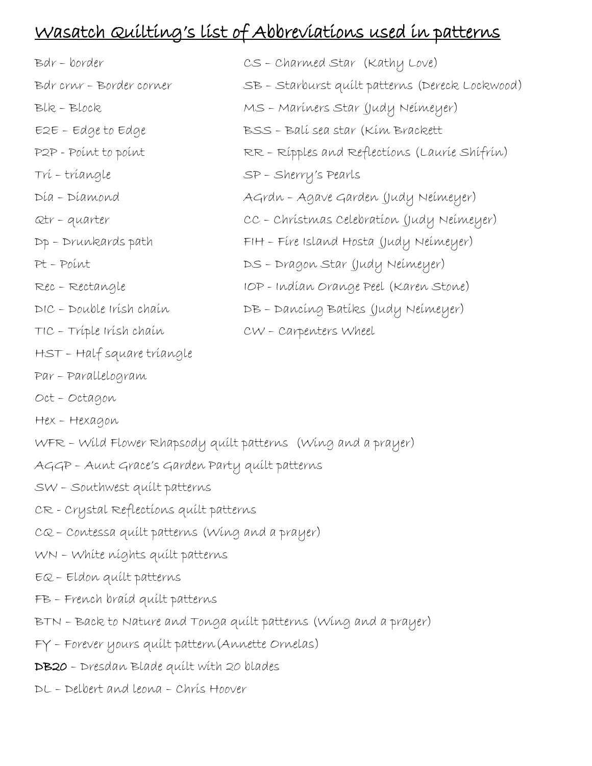## Wasatch Quilting's list of Abbreviations used in patterns

| Bdr - border               | CS - Charmed Star (Kathy Love)                  |
|----------------------------|-------------------------------------------------|
| Bdr crur - Border corner   | SB - Starburst quilt patterns (Dereck Lockwood) |
| Blk-Block                  | MS - Maríners Star (Judy Neímeyer)              |
| $E2E - Edge to Edge$       | BSS - Balí sea star (Kím Brackett               |
| P2P - Point to point       | RR - Rípples and Reflections (Laurie Shifrin)   |
| Trí - tríangle             | SP - Sherry's Pearls                            |
| Día - Díamond              | AGrdn - Agave Garden (Judy Neimeyer)            |
| Qtr-quarter                | CC - Christmas Celebration (Judy Neimeyer)      |
| $Dp$ – Drunkards path      | FIH - Fíre Island Hosta (Judy Neímeyer)         |
| Pt-Point                   | DS - Dragon Star (Judy Neimeyer)                |
| Rec - Rectangle            | IOP - Indían Orange Peel (Karen Stone)          |
| DIC - Double Irísh chaín   | DB - Dancing Batiks (Judy Neimeyer)             |
| TIC - Tríple Irísh chaín   | CW - Carpenters Wheel                           |
| HST - Half square tríangle |                                                 |

- Par Parallelogram
- Oct Octagon
- Hex Hexagon
- WFR Wild Flower Rhapsody quilt patterns (Wing and a prayer)
- AGGP Aunt Grace's Garden Party quilt patterns
- SW Southwest quilt patterns
- CR Crystal Reflections quilt patterns
- CQ Contessa quilt patterns (Wing and a prayer)
- WN White nights quilt patterns
- EQ Eldon quilt patterns
- FB French braid quilt patterns
- BTN Back to Nature and Tonga quilt patterns (Wing and a prayer)
- FY Forever yours quilt pattern(Annette Ornelas)
- DB20 Dresdan Blade quilt with 20 blades
- DL Delbert and leona Chris Hoover